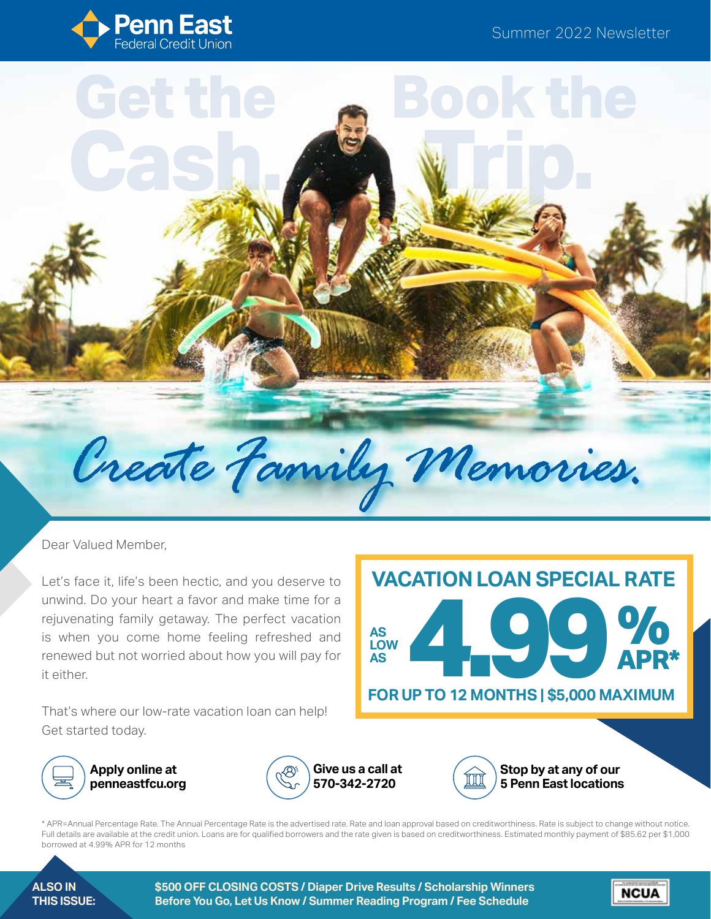**Book the** 

**Trip.** 



**Cash.**



Dear Valued Member,

Let's face it, life's been hectic, and you deserve to unwind. Do your heart a favor and make time for a rejuvenating family getaway. The perfect vacation is when you come home feeling refreshed and renewed but not worried about how you will pay for it either.

That's where our low-rate vacation loan can help! Get started today.





**Apply online at penneastfcu.org**





**Stop by at any of our 5 Penn East locations**

**NCUA** 

\* APR=Annual Percentage Rate. The Annual Percentage Rate is the advertised rate. Rate and loan approval based on creditworthiness. Rate is subject to change without notice. Full details are available at the credit union. Loans are for qualified borrowers and the rate given is based on creditworthiness. Estimated monthly payment of \$85.62 per \$1,000 borrowed at 4.99% APR for 12 months

**ALSO IN THIS ISSUE:** **\$500 OFF CLOSING COSTS / Diaper Drive Results / Scholarship Winners Before You Go, Let Us Know / Summer Reading Program / Fee Schedule**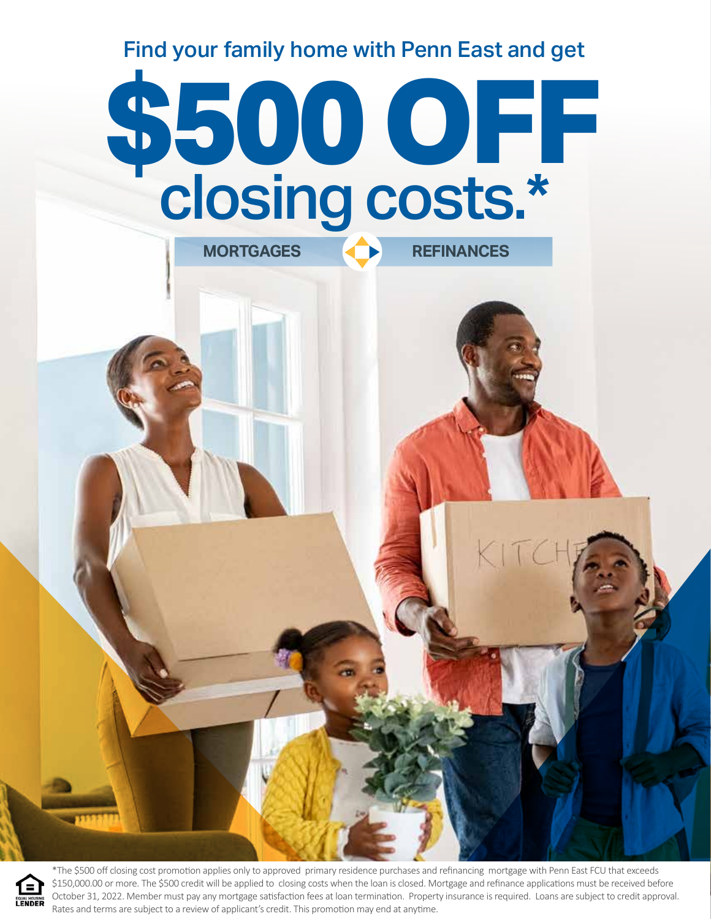Find your family home with Penn East and get

# **\$500 OFF**<br>Closing costs.\* closing costs.\* **MORTGAGES REFINANCES**



\*The \$500 off closing cost promotion applies only to approved primary residence purchases and refinancing mortgage with Penn East FCU that exceeds \$150,000.00 or more. The \$500 credit will be applied to closing costs when the loan is closed. Mortgage and refinance applications must be received before October 31, 2022. Member must pay any mortgage satisfaction fees at loan termination. Property insurance is required. Loans are subject to credit approval. Rates and terms are subject to a review of applicant's credit. This promotion may end at anytime.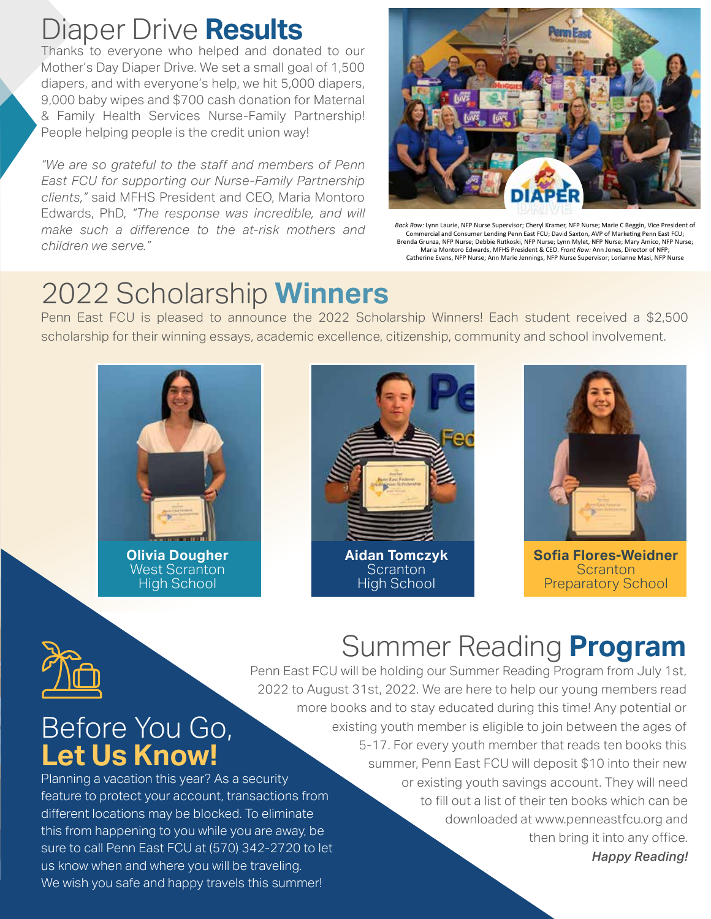## Diaper Drive **Results**

Thanks to everyone who helped and donated to our Mother's Day Diaper Drive. We set a small goal of 1,500 diapers, and with everyone's help, we hit 5,000 diapers, 9,000 baby wipes and \$700 cash donation for Maternal & Family Health Services Nurse-Family Partnership! People helping people is the credit union way!

*"We are so grateful to the staff and members of Penn East FCU for supporting our Nurse-Family Partnership clients,"* said MFHS President and CEO, Maria Montoro Edwards, PhD, *"The response was incredible, and will make such a difference to the at-risk mothers and children we serve."*



*Back Row:* Lynn Laurie, NFP Nurse Supervisor; Cheryl Kramer, NFP Nurse; Marie C Beggin, Vice President of Commercial and Consumer Lending Penn East FCU; David Saxton, AVP of Marketing Penn East FCU; Brenda Grunza, NFP Nurse; Debbie Rutkoski, NFP Nurse; Lynn Mylet, NFP Nurse; Mary Amico, NFP Nurse; Maria Montoro Edwards, MFHS President & CEO. *Front Row:* Ann Jones, Director of NFP; Catherine Evans, NFP Nurse; Ann Marie Jennings, NFP Nurse Supervisor; Lorianne Masi, NFP Nurse

## 2022 Scholarship **Winners**

Penn East FCU is pleased to announce the 2022 Scholarship Winners! Each student received a \$2,500 scholarship for their winning essays, academic excellence, citizenship, community and school involvement.



**Olivia Dougher**  West Scranton High School

We wish you safe and happy travels this summer!

Before You Go,

**Let Us Know!**





**Sofia Flores-Weidner Scranton** Preparatory School



# Summer Reading **Program**

Planning a vacation this year? As a security feature to protect your account, transactions from different locations may be blocked. To eliminate this from happening to you while you are away, be sure to call Penn East FCU at (570) 342-2720 to let us know when and where you will be traveling. Penn East FCU will be holding our Summer Reading Program from July 1st, 2022 to August 31st, 2022. We are here to help our young members read more books and to stay educated during this time! Any potential or existing youth member is eligible to join between the ages of 5-17. For every youth member that reads ten books this summer, Penn East FCU will deposit \$10 into their new or existing youth savings account. They will need to fill out a list of their ten books which can be downloaded at www.penneastfcu.org and then bring it into any office. *Happy Reading!*